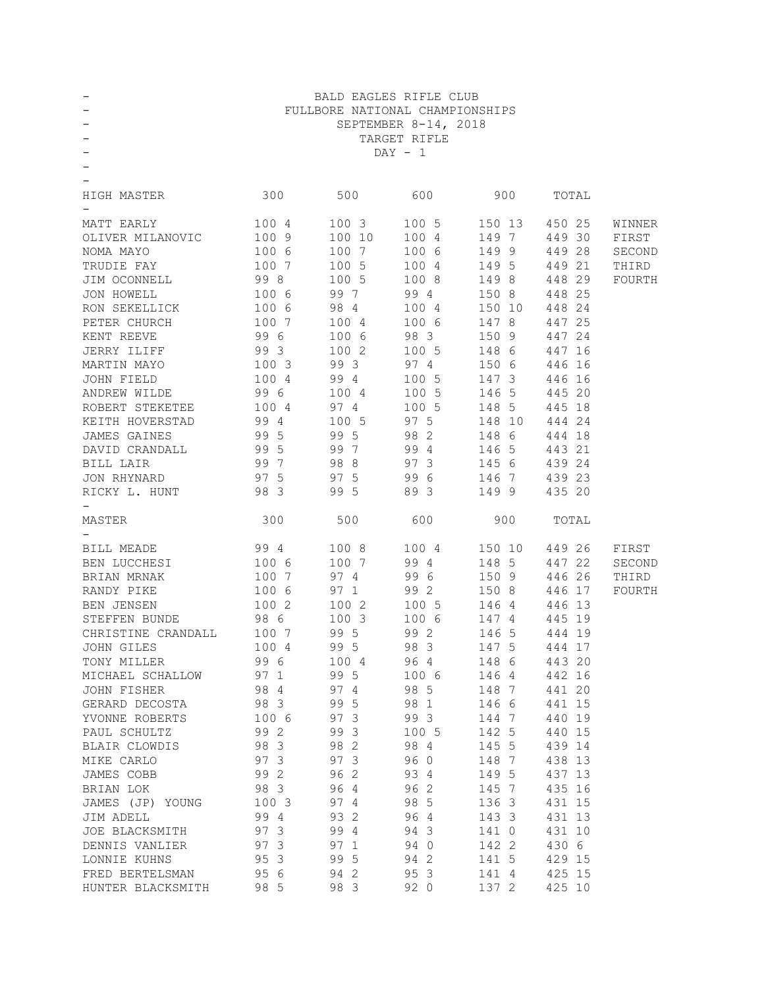| —                  |           | BALD EAGLES RIFLE CLUB          |                      |        |        |        |  |  |
|--------------------|-----------|---------------------------------|----------------------|--------|--------|--------|--|--|
|                    |           | FULLBORE NATIONAL CHAMPIONSHIPS |                      |        |        |        |  |  |
|                    |           |                                 | SEPTEMBER 8-14, 2018 |        |        |        |  |  |
|                    |           |                                 | TARGET RIFLE         |        |        |        |  |  |
|                    | $DAY - 1$ |                                 |                      |        |        |        |  |  |
|                    |           |                                 |                      |        |        |        |  |  |
|                    |           |                                 |                      |        |        |        |  |  |
| HIGH MASTER        | 300       | 500                             | 600                  | 900    | TOTAL  |        |  |  |
|                    |           |                                 |                      |        |        |        |  |  |
| MATT EARLY         | 100 4     | 100 3                           | 100 5                | 150 13 | 450 25 | WINNER |  |  |
| OLIVER MILANOVIC   | 100 9     | 100 10                          | 100 4                | 149 7  | 449 30 | FIRST  |  |  |
| NOMA MAYO          | 100 6     | 100 7                           | 100 6                | 1499   | 449 28 | SECOND |  |  |
| TRUDIE FAY         | 100 7     | 100 5                           | 100 4                | 149 5  | 449 21 | THIRD  |  |  |
| JIM OCONNELL       | 99 8      | 100 5                           | 100 8                | 1498   | 448 29 | FOURTH |  |  |
| JON HOWELL         | 100 6     | 99 7                            | 99 4                 | 150 8  | 448 25 |        |  |  |
| RON SEKELLICK      | 100 6     | 98 4                            | 100 4                | 150 10 | 448 24 |        |  |  |
| PETER CHURCH       | 100 7     | 100 4                           | 100 6                | 147 8  | 447 25 |        |  |  |
| KENT REEVE         | 99 6      | 100 6                           | 98 3                 | 150 9  | 447 24 |        |  |  |
| JERRY ILIFF        | 99 3      | 100 2                           | 100 5                | 148 6  | 447 16 |        |  |  |
| MARTIN MAYO        | 1003      | 99 3                            | 974                  | 150 6  | 446 16 |        |  |  |
| JOHN FIELD         | 100 4     | 99 4                            | 100 5                | 147 3  | 446 16 |        |  |  |
| ANDREW WILDE       | 996       | 100 4                           | 100 5                | 146 5  | 445 20 |        |  |  |
| ROBERT STEKETEE    | 100 4     | 97 4                            | 100 5                | 148 5  | 445 18 |        |  |  |
| KEITH HOVERSTAD    | 994       | 100 5                           | 97 5                 | 148 10 | 444 24 |        |  |  |
| JAMES GAINES       | 99 5      | 99 5                            | 98 2                 | 148 6  | 444 18 |        |  |  |
| DAVID CRANDALL     | 99 5      | 99 7                            | 99 4                 | 146 5  | 443 21 |        |  |  |
| BILL LAIR          | 997       | 98 8                            | 97 3                 | 145 6  | 439 24 |        |  |  |
| JON RHYNARD        | 97 5      | 97 5                            | 99 6                 | 146 7  | 439 23 |        |  |  |
| RICKY L. HUNT      | 98 3      | 99 5                            | 89 3                 | 1499   | 435 20 |        |  |  |
|                    |           |                                 |                      |        |        |        |  |  |
| MASTER             | 300       | 500                             | 600                  | 900    | TOTAL  |        |  |  |
|                    |           |                                 |                      |        |        |        |  |  |
| BILL MEADE         | 994       | 100 8                           | 100 4                | 150 10 | 449 26 | FIRST  |  |  |
| BEN LUCCHESI       | 100 6     | 100 7                           | 99 4                 | 148 5  | 447 22 | SECOND |  |  |
| <b>BRIAN MRNAK</b> | 100 7     | 97 4                            | 99 6                 | 150 9  | 446 26 | THIRD  |  |  |
| RANDY PIKE         | 100 6     | 97 1                            | 99 2                 | 150 8  | 446 17 | FOURTH |  |  |
| <b>BEN JENSEN</b>  | 100 2     | 100 2                           | 100 5                | 146 4  | 446 13 |        |  |  |
| STEFFEN BUNDE      | 98 6      | 1003                            | 100 6                | 147 4  | 445 19 |        |  |  |
| CHRISTINE CRANDALL | 100 7     | 99 5                            | 99 2                 | 146 5  | 444 19 |        |  |  |
| JOHN GILES         | 100 4     | 99 5                            | 98 3                 | 147 5  | 444 17 |        |  |  |
| TONY MILLER        | 99 6      | 100 4                           | 96 4                 | 148 6  | 443 20 |        |  |  |
| MICHAEL SCHALLOW   | 97 1      | 99 5                            | 100 6                | 1464   | 442 16 |        |  |  |
| <b>JOHN FISHER</b> | 98 4      | 97 4                            | 98 5                 | 148 7  | 441 20 |        |  |  |
| GERARD DECOSTA     | 98 3      | 99 5                            | 98 1                 | 146 6  | 441 15 |        |  |  |
| YVONNE ROBERTS     | 100 6     | 97 3                            | 99 3                 | 144 7  | 440 19 |        |  |  |
| PAUL SCHULTZ       | 99 2      | 99 3                            | 100 5                | 142 5  | 440 15 |        |  |  |
| BLAIR CLOWDIS      | 98 3      | 98 2                            | 98 4                 | 145 5  | 439 14 |        |  |  |
| MIKE CARLO         | 97 3      | 97 3                            | 96 0                 | 148 7  | 438 13 |        |  |  |
| JAMES COBB         | 99 2      | 96 2                            | 93 4                 | 149 5  | 437 13 |        |  |  |
| BRIAN LOK          | 98 3      | 96 4                            | 96 2                 | 145 7  | 435 16 |        |  |  |
| JAMES (JP) YOUNG   | 1003      | 97 4                            | 98 5                 | 136 3  | 431 15 |        |  |  |
| JIM ADELL          | 99 4      | 93 2                            | 96 4                 | 143 3  | 431 13 |        |  |  |
| JOE BLACKSMITH     | 97 3      | 99 4                            | 94 3                 | 141 0  | 431 10 |        |  |  |
| DENNIS VANLIER     | 97 3      | 97 1                            | 94 0                 | 142 2  | 430 6  |        |  |  |
| LONNIE KUHNS       | 95 3      | 99 5                            | 94 2                 | 141 5  | 429 15 |        |  |  |
| FRED BERTELSMAN    | 95 6      | 942                             | 95 3                 | 141 4  | 425 15 |        |  |  |
| HUNTER BLACKSMITH  | 98 5      | 98 3                            | 92 0                 | 137 2  | 425 10 |        |  |  |
|                    |           |                                 |                      |        |        |        |  |  |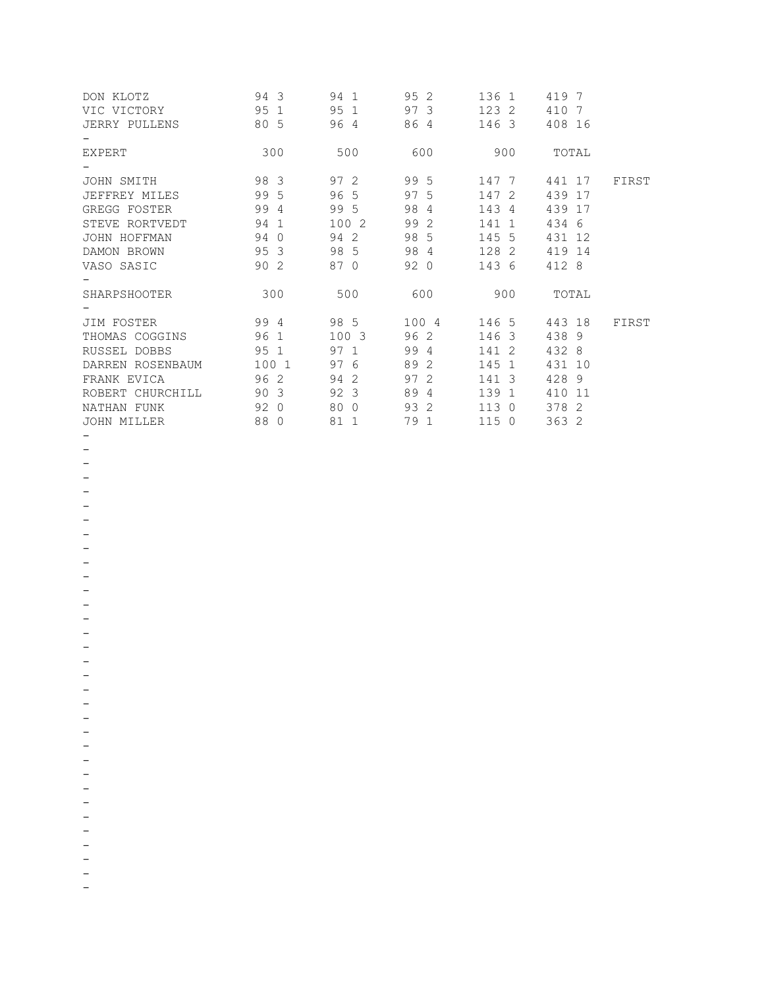| DON KLOTZ            | 94 3  | 94 1 | 95 2  | 136 1 | 419 7    |       |
|----------------------|-------|------|-------|-------|----------|-------|
| VIC VICTORY          | 95 1  | 95 1 | 97 3  | 123 2 | 410<br>7 |       |
| <b>JERRY PULLENS</b> | 80 5  | 96 4 | 86 4  | 146 3 | 408 16   |       |
|                      |       |      |       |       |          |       |
| <b>EXPERT</b>        | 300   | 500  | 600   | 900   | TOTAL    |       |
|                      |       |      |       |       |          |       |
| JOHN SMITH           | 98 3  | 97 2 | 99 5  | 147 7 | 441 17   | FIRST |
| JEFFREY MILES        | 99 5  | 96 5 | 97 5  | 147 2 | 439 17   |       |
| GREGG FOSTER         | 99 4  | 99 5 | 98 4  | 143 4 | 439 17   |       |
| STEVE RORTVEDT       | 94 1  | 1002 | 99 2  | 141 1 | 434 6    |       |
| JOHN HOFFMAN         | 94 0  | 94 2 | 98 5  | 145 5 | 431 12   |       |
| DAMON BROWN          | 95 3  | 98 5 | 98 4  | 128 2 | 419 14   |       |
| VASO SASIC           | 90 2  | 87 0 | 92 0  | 143 6 | 412 8    |       |
|                      |       |      |       |       |          |       |
| SHARPSHOOTER         | 300   | 500  | 600   | 900   | TOTAL    |       |
|                      |       |      |       |       |          |       |
| JIM FOSTER           | 99 4  | 98 5 | 100 4 | 146 5 | 443 18   | FIRST |
| THOMAS COGGINS       | 96 1  | 1003 | 96 2  | 146 3 | 438 9    |       |
| RUSSEL DOBBS         | 95 1  | 97 1 | 99 4  | 141 2 | 432 8    |       |
| DARREN ROSENBAUM     | 100 1 | 97 6 | 89 2  | 145 1 | 431 10   |       |
| FRANK EVICA          | 962   | 94 2 | 97 2  | 141 3 | 428 9    |       |
| ROBERT CHURCHILL     | 90 3  | 92 3 | 89 4  | 139 1 | 410 11   |       |
| NATHAN FUNK          | 920   | 80 0 | 93 2  | 1130  | 378 2    |       |
| JOHN MILLER          | 88 0  | 81 1 | 79 1  | 1150  | 363 2    |       |

- -
- -

-

-

-

-

- -

-

-

-

- -

-

-

-

-

-

- -

-

-

-

- -

-

-

-

- -
- -

-

-